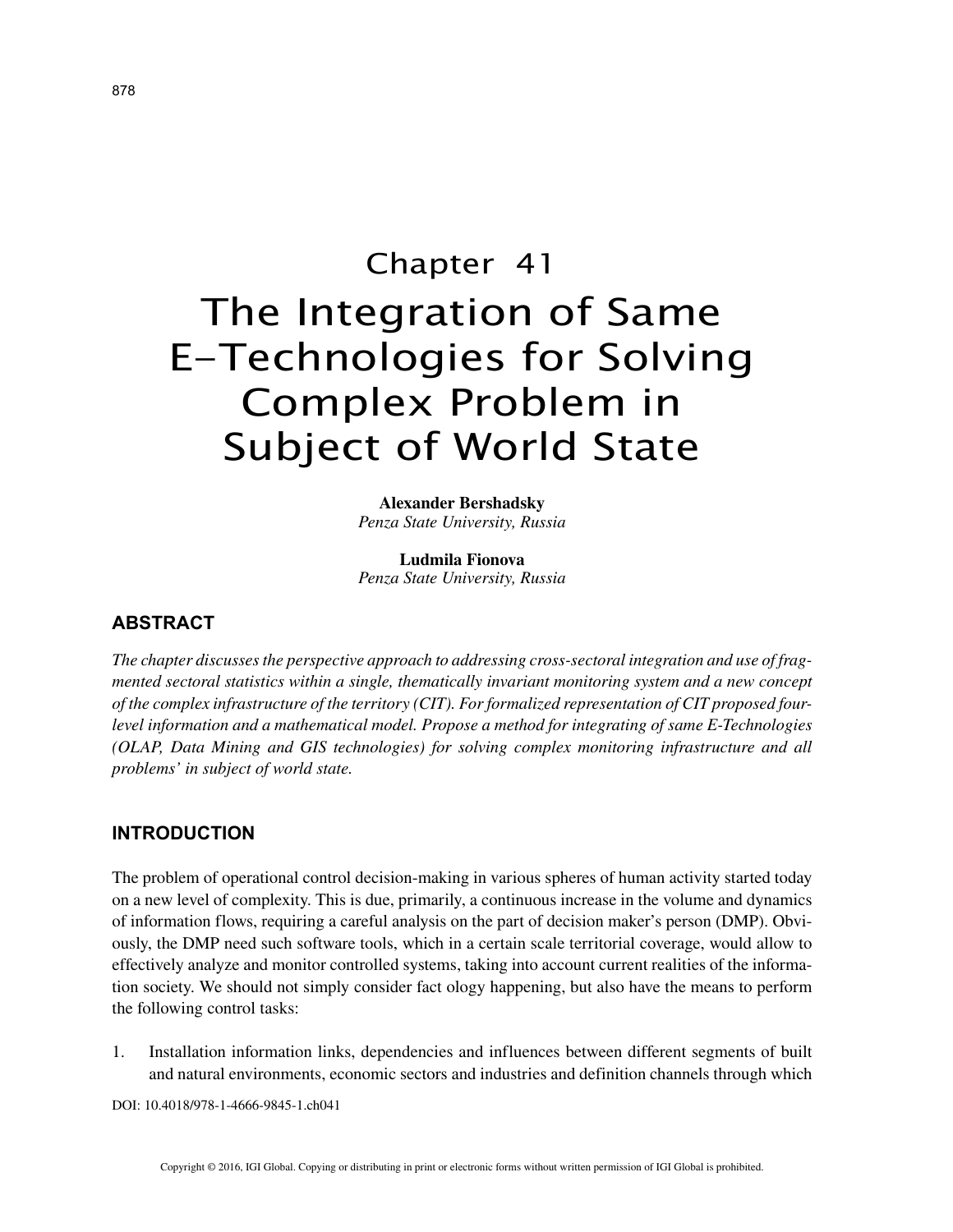# Chapter 41 The Integration of Same E-Technologies for Solving Complex Problem in Subject of World State

**Alexander Bershadsky** *Penza State University, Russia*

**Ludmila Fionova** *Penza State University, Russia*

## **ABSTRACT**

*The chapter discusses the perspective approach to addressing cross-sectoral integration and use of fragmented sectoral statistics within a single, thematically invariant monitoring system and a new concept of the complex infrastructure of the territory (CIT). For formalized representation of CIT proposed fourlevel information and a mathematical model. Propose a method for integrating of same E-Technologies (OLAP, Data Mining and GIS technologies) for solving complex monitoring infrastructure and all problems' in subject of world state.*

#### **INTRODUCTION**

The problem of operational control decision-making in various spheres of human activity started today on a new level of complexity. This is due, primarily, a continuous increase in the volume and dynamics of information flows, requiring a careful analysis on the part of decision maker's person (DMP). Obviously, the DMP need such software tools, which in a certain scale territorial coverage, would allow to effectively analyze and monitor controlled systems, taking into account current realities of the information society. We should not simply consider fact ology happening, but also have the means to perform the following control tasks:

1. Installation information links, dependencies and influences between different segments of built and natural environments, economic sectors and industries and definition channels through which

DOI: 10.4018/978-1-4666-9845-1.ch041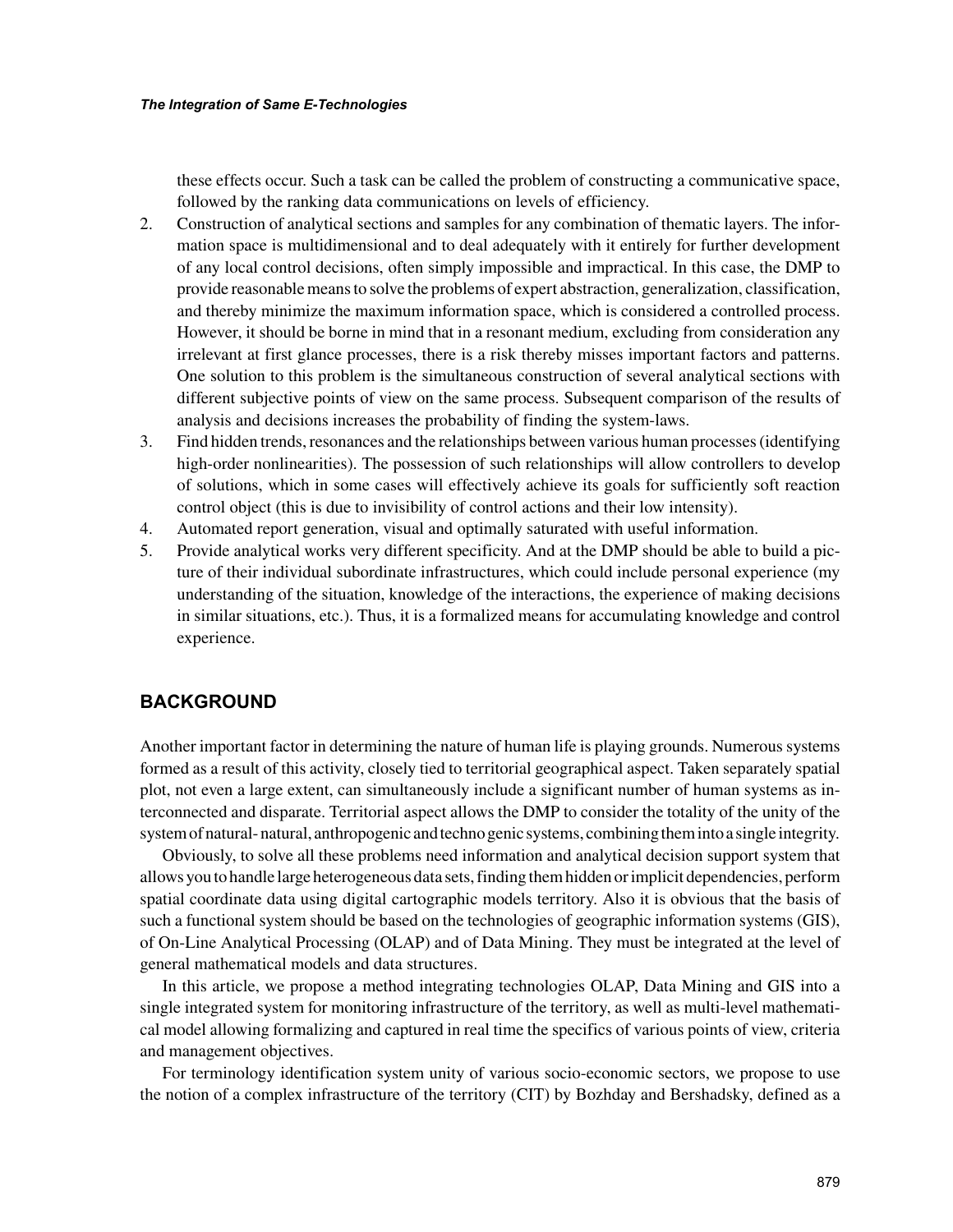these effects occur. Such a task can be called the problem of constructing a communicative space, followed by the ranking data communications on levels of efficiency.

- 2. Construction of analytical sections and samples for any combination of thematic layers. The information space is multidimensional and to deal adequately with it entirely for further development of any local control decisions, often simply impossible and impractical. In this case, the DMP to provide reasonable means to solve the problems of expert abstraction, generalization, classification, and thereby minimize the maximum information space, which is considered a controlled process. However, it should be borne in mind that in a resonant medium, excluding from consideration any irrelevant at first glance processes, there is a risk thereby misses important factors and patterns. One solution to this problem is the simultaneous construction of several analytical sections with different subjective points of view on the same process. Subsequent comparison of the results of analysis and decisions increases the probability of finding the system-laws.
- 3. Find hidden trends, resonances and the relationships between various human processes (identifying high-order nonlinearities). The possession of such relationships will allow controllers to develop of solutions, which in some cases will effectively achieve its goals for sufficiently soft reaction control object (this is due to invisibility of control actions and their low intensity).
- 4. Automated report generation, visual and optimally saturated with useful information.
- 5. Provide analytical works very different specificity. And at the DMP should be able to build a picture of their individual subordinate infrastructures, which could include personal experience (my understanding of the situation, knowledge of the interactions, the experience of making decisions in similar situations, etc.). Thus, it is a formalized means for accumulating knowledge and control experience.

## **BACKGROUND**

Another important factor in determining the nature of human life is playing grounds. Numerous systems formed as a result of this activity, closely tied to territorial geographical aspect. Taken separately spatial plot, not even a large extent, can simultaneously include a significant number of human systems as interconnected and disparate. Territorial aspect allows the DMP to consider the totality of the unity of the system of natural- natural, anthropogenic and techno genic systems, combining them into a single integrity.

Obviously, to solve all these problems need information and analytical decision support system that allows you to handle large heterogeneous data sets, finding them hidden or implicit dependencies, perform spatial coordinate data using digital cartographic models territory. Also it is obvious that the basis of such a functional system should be based on the technologies of geographic information systems (GIS), of On-Line Analytical Processing (OLAP) and of Data Mining. They must be integrated at the level of general mathematical models and data structures.

In this article, we propose a method integrating technologies OLAP, Data Mining and GIS into a single integrated system for monitoring infrastructure of the territory, as well as multi-level mathematical model allowing formalizing and captured in real time the specifics of various points of view, criteria and management objectives.

For terminology identification system unity of various socio-economic sectors, we propose to use the notion of a complex infrastructure of the territory (CIT) by Bozhday and Bershadsky, defined as a